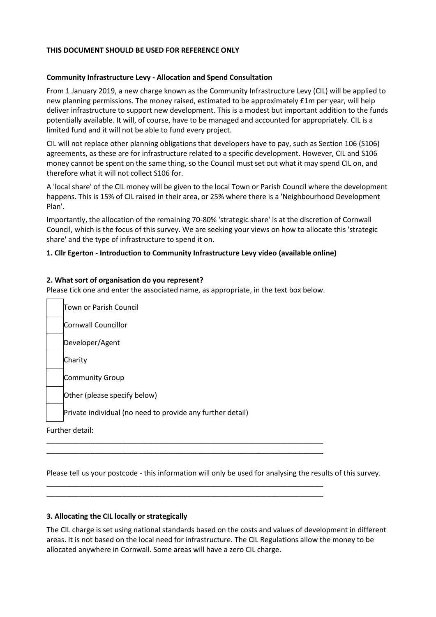# **THIS DOCUMENT SHOULD BE USED FOR REFERENCE ONLY**

#### **Community Infrastructure Levy - Allocation and Spend Consultation**

From 1 January 2019, a new charge known as the Community Infrastructure Levy (CIL) will be applied to new planning permissions. The money raised, estimated to be approximately £1m per year, will help deliver infrastructure to support new development. This is a modest but important addition to the funds potentially available. It will, of course, have to be managed and accounted for appropriately. CIL is a limited fund and it will not be able to fund every project.

CIL will not replace other planning obligations that developers have to pay, such as Section 106 (S106) agreements, as these are for infrastructure related to a specific development. However, CIL and S106 money cannot be spent on the same thing, so the Council must set out what it may spend CIL on, and therefore what it will not collect S106 for.

A 'local share' of the CIL money will be given to the local Town or Parish Council where the development happens. This is 15% of CIL raised in their area, or 25% where there is a 'Neighbourhood Development Plan'.

Importantly, the allocation of the remaining 70-80% 'strategic share' is at the discretion of Cornwall Council, which is the focus of this survey. We are seeking your views on how to allocate this 'strategic share' and the type of infrastructure to spend it on.

#### **1. Cllr Egerton - Introduction to Community Infrastructure Levy video (available online)**

#### **2. What sort of organisation do you represent?**

Please tick one and enter the associated name, as appropriate, in the text box below.

\_\_\_\_\_\_\_\_\_\_\_\_\_\_\_\_\_\_\_\_\_\_\_\_\_\_\_\_\_\_\_\_\_\_\_\_\_\_\_\_\_\_\_\_\_\_\_\_\_\_\_\_\_\_\_\_\_\_\_\_\_\_\_\_\_\_\_\_\_ \_\_\_\_\_\_\_\_\_\_\_\_\_\_\_\_\_\_\_\_\_\_\_\_\_\_\_\_\_\_\_\_\_\_\_\_\_\_\_\_\_\_\_\_\_\_\_\_\_\_\_\_\_\_\_\_\_\_\_\_\_\_\_\_\_\_\_\_\_

\_\_\_\_\_\_\_\_\_\_\_\_\_\_\_\_\_\_\_\_\_\_\_\_\_\_\_\_\_\_\_\_\_\_\_\_\_\_\_\_\_\_\_\_\_\_\_\_\_\_\_\_\_\_\_\_\_\_\_\_\_\_\_\_\_\_\_\_\_ \_\_\_\_\_\_\_\_\_\_\_\_\_\_\_\_\_\_\_\_\_\_\_\_\_\_\_\_\_\_\_\_\_\_\_\_\_\_\_\_\_\_\_\_\_\_\_\_\_\_\_\_\_\_\_\_\_\_\_\_\_\_\_\_\_\_\_\_\_

Town or Parish Council Cornwall Councillor Developer/Agent Charity Community Group Other (please specify below) Private individual (no need to provide any further detail) Further detail:

Please tell us your postcode - this information will only be used for analysing the results of this survey.

#### **3. Allocating the CIL locally or strategically**

The CIL charge is set using national standards based on the costs and values of development in different areas. It is not based on the local need for infrastructure. The CIL Regulations allow the money to be allocated anywhere in Cornwall. Some areas will have a zero CIL charge.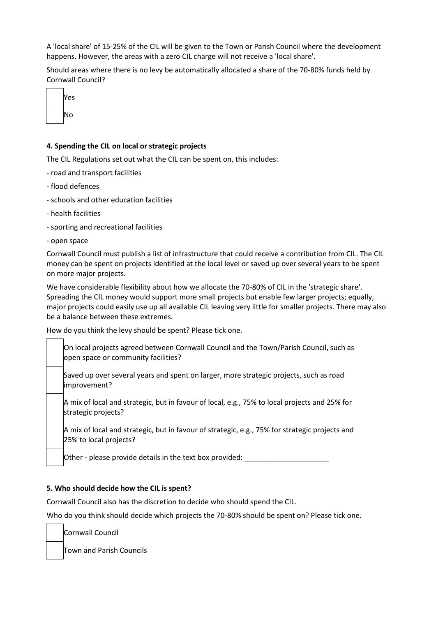A 'local share' of 15-25% of the CIL will be given to the Town or Parish Council where the development happens. However, the areas with a zero CIL charge will not receive a 'local share'.

Should areas where there is no levy be automatically allocated a share of the 70-80% funds held by Cornwall Council?



# **4. Spending the CIL on local or strategic projects**

The CIL Regulations set out what the CIL can be spent on, this includes:

- road and transport facilities
- flood defences
- schools and other education facilities
- health facilities
- sporting and recreational facilities
- open space

Cornwall Council must publish a list of infrastructure that could receive a contribution from CIL. The CIL money can be spent on projects identified at the local level or saved up over several years to be spent on more major projects.

We have considerable flexibility about how we allocate the 70-80% of CIL in the 'strategic share'. Spreading the CIL money would support more small projects but enable few larger projects; equally, major projects could easily use up all available CIL leaving very little for smaller projects. There may also be a balance between these extremes.

How do you think the levy should be spent? Please tick one.

On local projects agreed between Cornwall Council and the Town/Parish Council, such as open space or community facilities?

Saved up over several years and spent on larger, more strategic projects, such as road improvement?

A mix of local and strategic, but in favour of local, e.g., 75% to local projects and 25% for strategic projects?

A mix of local and strategic, but in favour of strategic, e.g., 75% for strategic projects and 25% to local projects?

Other - please provide details in the text box provided:

# **5. Who should decide how the CIL is spent?**

Cornwall Council also has the discretion to decide who should spend the CIL.

Who do you think should decide which projects the 70-80% should be spent on? Please tick one.

Cornwall Council

Town and Parish Councils